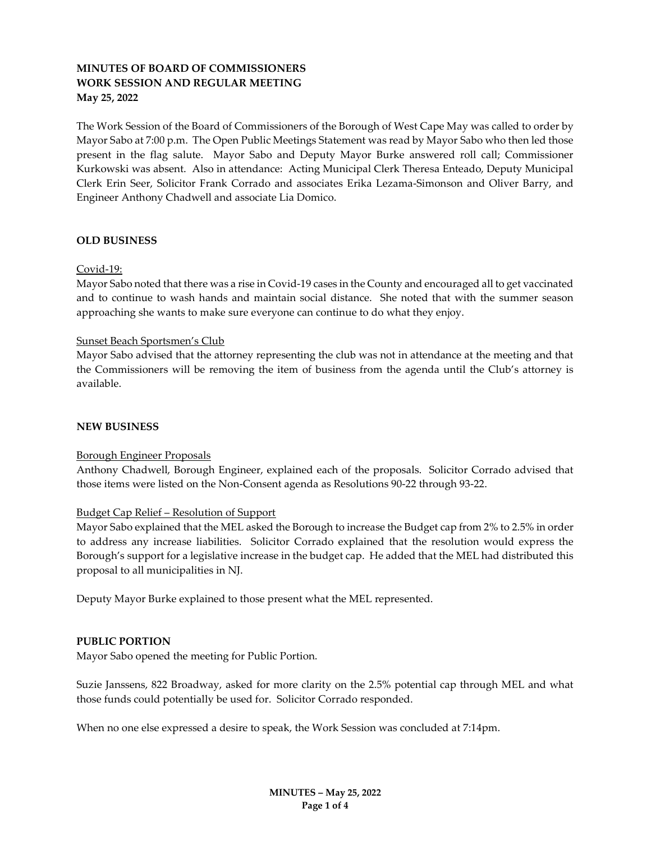# MINUTES OF BOARD OF COMMISSIONERS WORK SESSION AND REGULAR MEETING May 25, 2022

The Work Session of the Board of Commissioners of the Borough of West Cape May was called to order by Mayor Sabo at 7:00 p.m. The Open Public Meetings Statement was read by Mayor Sabo who then led those present in the flag salute. Mayor Sabo and Deputy Mayor Burke answered roll call; Commissioner Kurkowski was absent. Also in attendance: Acting Municipal Clerk Theresa Enteado, Deputy Municipal Clerk Erin Seer, Solicitor Frank Corrado and associates Erika Lezama-Simonson and Oliver Barry, and Engineer Anthony Chadwell and associate Lia Domico.

#### OLD BUSINESS

#### Covid-19:

Mayor Sabo noted that there was a rise in Covid-19 cases in the County and encouraged all to get vaccinated and to continue to wash hands and maintain social distance. She noted that with the summer season approaching she wants to make sure everyone can continue to do what they enjoy.

#### Sunset Beach Sportsmen's Club

Mayor Sabo advised that the attorney representing the club was not in attendance at the meeting and that the Commissioners will be removing the item of business from the agenda until the Club's attorney is available.

### NEW BUSINESS

#### Borough Engineer Proposals

Anthony Chadwell, Borough Engineer, explained each of the proposals. Solicitor Corrado advised that those items were listed on the Non-Consent agenda as Resolutions 90-22 through 93-22.

#### Budget Cap Relief – Resolution of Support

Mayor Sabo explained that the MEL asked the Borough to increase the Budget cap from 2% to 2.5% in order to address any increase liabilities. Solicitor Corrado explained that the resolution would express the Borough's support for a legislative increase in the budget cap. He added that the MEL had distributed this proposal to all municipalities in NJ.

Deputy Mayor Burke explained to those present what the MEL represented.

## PUBLIC PORTION

Mayor Sabo opened the meeting for Public Portion.

Suzie Janssens, 822 Broadway, asked for more clarity on the 2.5% potential cap through MEL and what those funds could potentially be used for. Solicitor Corrado responded.

When no one else expressed a desire to speak, the Work Session was concluded at 7:14pm.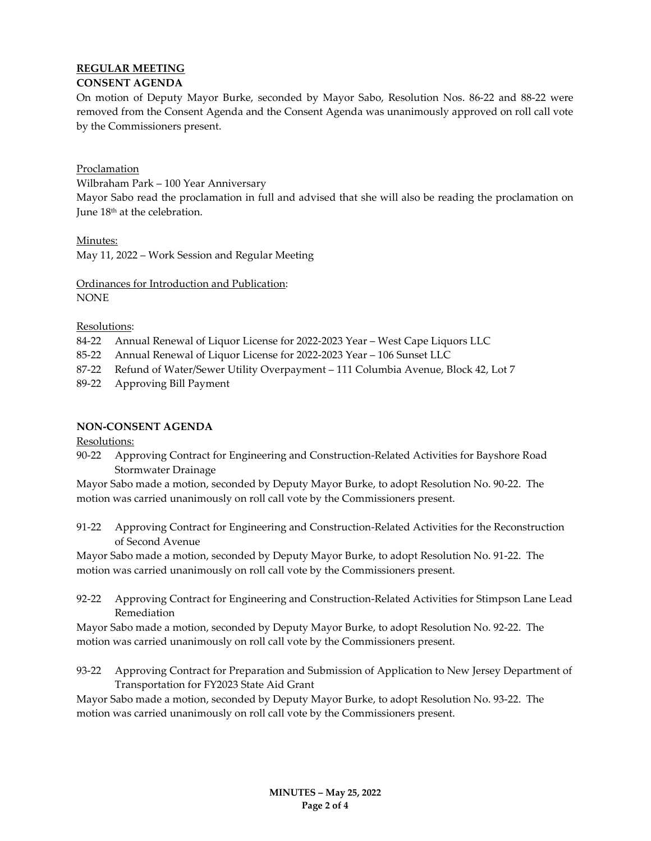# REGULAR MEETING

# CONSENT AGENDA

On motion of Deputy Mayor Burke, seconded by Mayor Sabo, Resolution Nos. 86-22 and 88-22 were removed from the Consent Agenda and the Consent Agenda was unanimously approved on roll call vote by the Commissioners present.

# Proclamation

Wilbraham Park – 100 Year Anniversary

Mayor Sabo read the proclamation in full and advised that she will also be reading the proclamation on June 18th at the celebration.

Minutes:

May 11, 2022 – Work Session and Regular Meeting

Ordinances for Introduction and Publication: NONE

# Resolutions:

- 84-22 Annual Renewal of Liquor License for 2022-2023 Year West Cape Liquors LLC
- 85-22 Annual Renewal of Liquor License for 2022-2023 Year 106 Sunset LLC
- 87-22 Refund of Water/Sewer Utility Overpayment 111 Columbia Avenue, Block 42, Lot 7
- 89-22 Approving Bill Payment

# NON-CONSENT AGENDA

Resolutions:

90-22 Approving Contract for Engineering and Construction-Related Activities for Bayshore Road Stormwater Drainage

Mayor Sabo made a motion, seconded by Deputy Mayor Burke, to adopt Resolution No. 90-22. The motion was carried unanimously on roll call vote by the Commissioners present.

91-22 Approving Contract for Engineering and Construction-Related Activities for the Reconstruction of Second Avenue

Mayor Sabo made a motion, seconded by Deputy Mayor Burke, to adopt Resolution No. 91-22. The motion was carried unanimously on roll call vote by the Commissioners present.

92-22 Approving Contract for Engineering and Construction-Related Activities for Stimpson Lane Lead Remediation

Mayor Sabo made a motion, seconded by Deputy Mayor Burke, to adopt Resolution No. 92-22. The motion was carried unanimously on roll call vote by the Commissioners present.

93-22 Approving Contract for Preparation and Submission of Application to New Jersey Department of Transportation for FY2023 State Aid Grant

Mayor Sabo made a motion, seconded by Deputy Mayor Burke, to adopt Resolution No. 93-22. The motion was carried unanimously on roll call vote by the Commissioners present.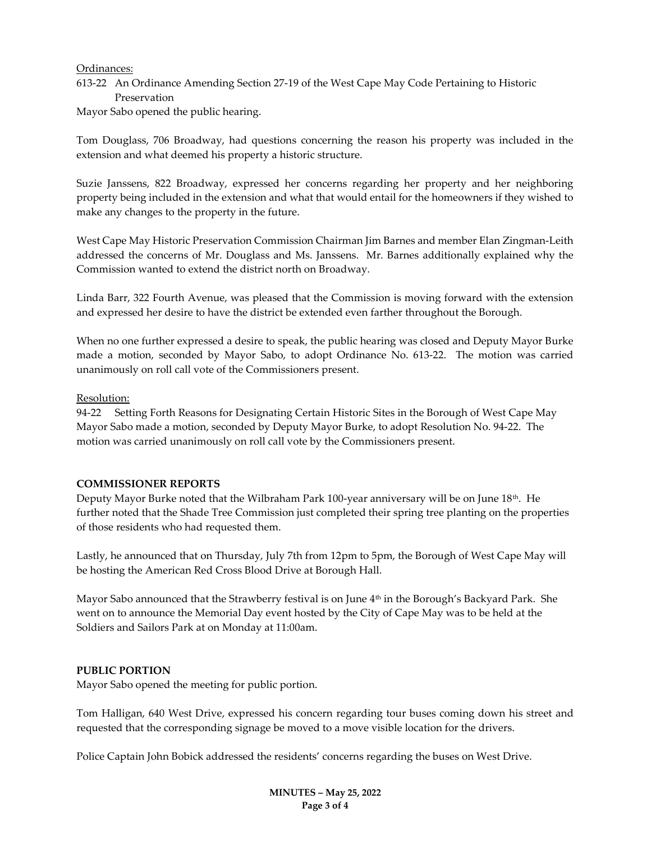#### Ordinances:

613-22 An Ordinance Amending Section 27-19 of the West Cape May Code Pertaining to Historic Preservation

Mayor Sabo opened the public hearing.

Tom Douglass, 706 Broadway, had questions concerning the reason his property was included in the extension and what deemed his property a historic structure.

Suzie Janssens, 822 Broadway, expressed her concerns regarding her property and her neighboring property being included in the extension and what that would entail for the homeowners if they wished to make any changes to the property in the future.

West Cape May Historic Preservation Commission Chairman Jim Barnes and member Elan Zingman-Leith addressed the concerns of Mr. Douglass and Ms. Janssens. Mr. Barnes additionally explained why the Commission wanted to extend the district north on Broadway.

Linda Barr, 322 Fourth Avenue, was pleased that the Commission is moving forward with the extension and expressed her desire to have the district be extended even farther throughout the Borough.

When no one further expressed a desire to speak, the public hearing was closed and Deputy Mayor Burke made a motion, seconded by Mayor Sabo, to adopt Ordinance No. 613-22. The motion was carried unanimously on roll call vote of the Commissioners present.

## Resolution:

94-22 Setting Forth Reasons for Designating Certain Historic Sites in the Borough of West Cape May Mayor Sabo made a motion, seconded by Deputy Mayor Burke, to adopt Resolution No. 94-22. The motion was carried unanimously on roll call vote by the Commissioners present.

## COMMISSIONER REPORTS

Deputy Mayor Burke noted that the Wilbraham Park 100-year anniversary will be on June  $18<sup>th</sup>$ . He further noted that the Shade Tree Commission just completed their spring tree planting on the properties of those residents who had requested them.

Lastly, he announced that on Thursday, July 7th from 12pm to 5pm, the Borough of West Cape May will be hosting the American Red Cross Blood Drive at Borough Hall.

Mayor Sabo announced that the Strawberry festival is on June 4<sup>th</sup> in the Borough's Backyard Park. She went on to announce the Memorial Day event hosted by the City of Cape May was to be held at the Soldiers and Sailors Park at on Monday at 11:00am.

# PUBLIC PORTION

Mayor Sabo opened the meeting for public portion.

Tom Halligan, 640 West Drive, expressed his concern regarding tour buses coming down his street and requested that the corresponding signage be moved to a move visible location for the drivers.

Police Captain John Bobick addressed the residents' concerns regarding the buses on West Drive.